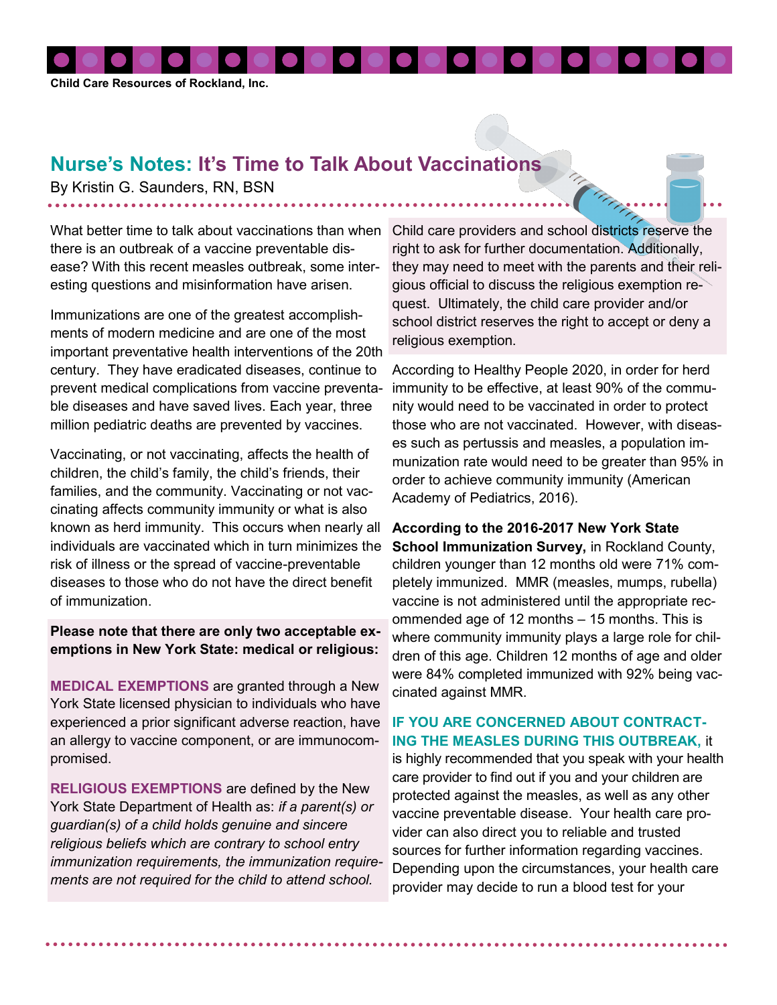

## **Nurse's Notes: It's Time to Talk About Vaccinations**

By Kristin G. Saunders, RN, BSN

there is an outbreak of a vaccine preventable disease? With this recent measles outbreak, some interesting questions and misinformation have arisen.

Immunizations are one of the greatest accomplishments of modern medicine and are one of the most important preventative health interventions of the 20th century. They have eradicated diseases, continue to prevent medical complications from vaccine preventable diseases and have saved lives. Each year, three million pediatric deaths are prevented by vaccines.

Vaccinating, or not vaccinating, affects the health of children, the child's family, the child's friends, their families, and the community. Vaccinating or not vaccinating affects community immunity or what is also known as herd immunity. This occurs when nearly all individuals are vaccinated which in turn minimizes the risk of illness or the spread of vaccine-preventable diseases to those who do not have the direct benefit of immunization.

**Please note that there are only two acceptable exemptions in New York State: medical or religious:**

**MEDICAL EXEMPTIONS** are granted through a New York State licensed physician to individuals who have experienced a prior significant adverse reaction, have an allergy to vaccine component, or are immunocompromised.

**RELIGIOUS EXEMPTIONS** are defined by the New York State Department of Health as: *if a parent(s) or guardian(s) of a child holds genuine and sincere religious beliefs which are contrary to school entry immunization requirements, the immunization requirements are not required for the child to attend school.*

What better time to talk about vaccinations than when Child care providers and school districts reserve the right to ask for further documentation. Additionally, they may need to meet with the parents and their religious official to discuss the religious exemption request. Ultimately, the child care provider and/or school district reserves the right to accept or deny a religious exemption.

> According to Healthy People 2020, in order for herd immunity to be effective, at least 90% of the community would need to be vaccinated in order to protect those who are not vaccinated. However, with diseases such as pertussis and measles, a population immunization rate would need to be greater than 95% in order to achieve community immunity (American Academy of Pediatrics, 2016).

> **According to the 2016-2017 New York State School Immunization Survey, in Rockland County,** children younger than 12 months old were 71% completely immunized. MMR (measles, mumps, rubella) vaccine is not administered until the appropriate recommended age of 12 months – 15 months. This is where community immunity plays a large role for children of this age. Children 12 months of age and older were 84% completed immunized with 92% being vaccinated against MMR.

## **IF YOU ARE CONCERNED ABOUT CONTRACT-ING THE MEASLES DURING THIS OUTBREAK,** it

is highly recommended that you speak with your health care provider to find out if you and your children are protected against the measles, as well as any other vaccine preventable disease. Your health care provider can also direct you to reliable and trusted sources for further information regarding vaccines. Depending upon the circumstances, your health care provider may decide to run a blood test for your